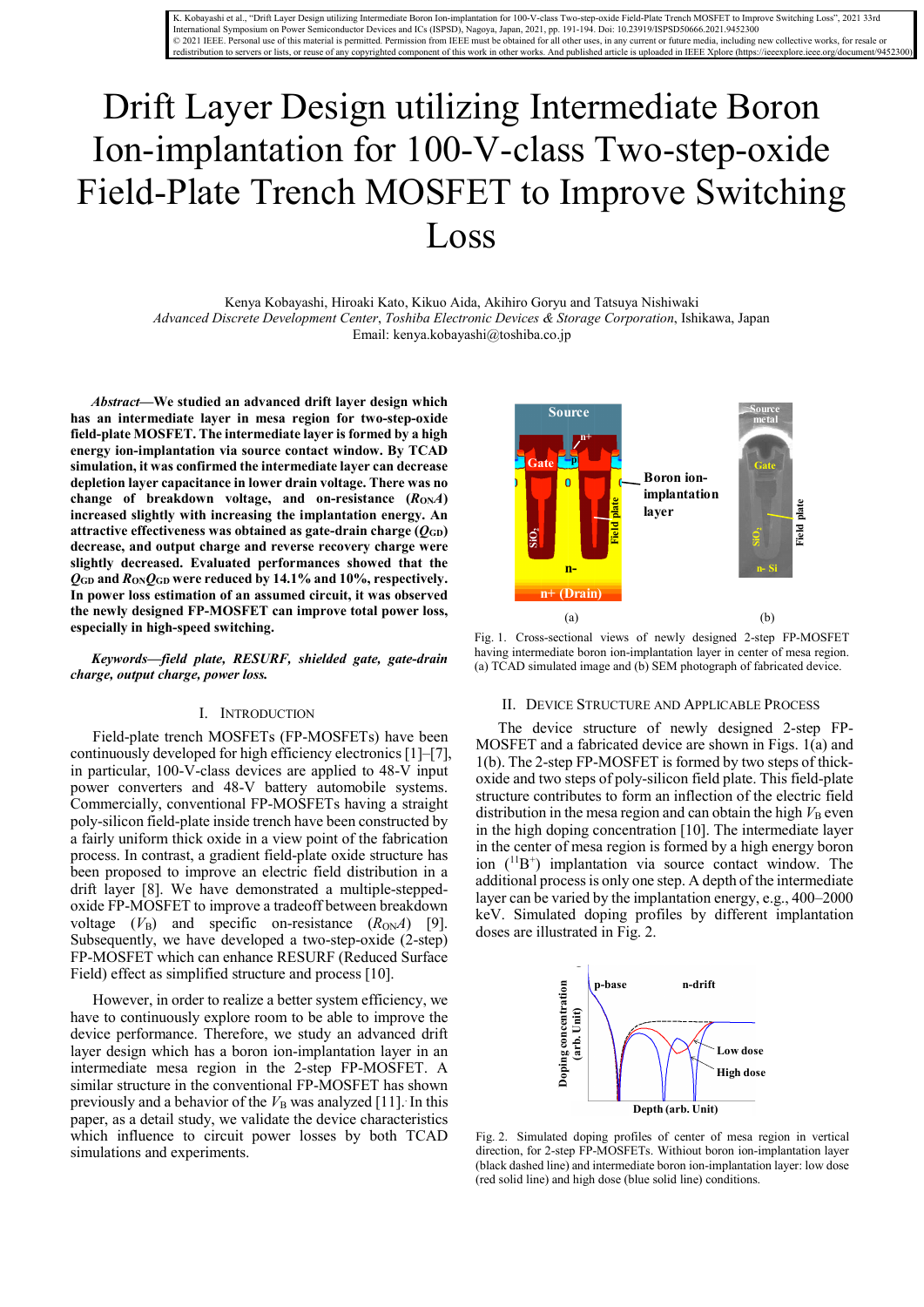K. Kobayashi et al., "Drift Layer Design utilizing Intermediate Boron Ion-implantation for 100-V-class Two-step-oxide Field-Plate Trench MOSFET to Improve Switching Loss", 2021 33rd<br>International Symposium on Power Semicon © 2021 IEEE. Personal use of this material is permitted. Permission from IEEE must be obtained for all other uses, in any current or future media, including new collective works, for resale or redistribution to servers or lists, or reuse of any copyrighted component of this work in other works. And published article is uploaded in IEEE Xplore (https://ieeexplore.ieee.org/document/9452300)

# Drift Layer Design utilizing Intermediate Boron Ion-implantation for 100-V-class Two-step-oxide Field-Plate Trench MOSFET to Improve Switching Loss

Kenya Kobayashi, Hiroaki Kato, Kikuo Aida, Akihiro Goryu and Tatsuya Nishiwaki *Advanced Discrete Development Center*, *Toshiba Electronic Devices & Storage Corporation*, Ishikawa, Japan Email: kenya.kobayashi@toshiba.co.jp

*Abstract***—We studied an advanced drift layer design which has an intermediate layer in mesa region for two-step-oxide field-plate MOSFET. The intermediate layer is formed by a high energy ion-implantation via source contact window. By TCAD simulation, it was confirmed the intermediate layer can decrease depletion layer capacitance in lower drain voltage. There was no**  change of breakdown voltage, and on-resistance  $(R_{ON}A)$ **increased slightly with increasing the implantation energy. An attractive effectiveness was obtained as gate-drain charge (***Q***GD) decrease, and output charge and reverse recovery charge were slightly decreased. Evaluated performances showed that the**   $Q$ <sub>GD</sub> and  $R$ <sub>ON</sub> $Q$ <sub>GD</sub> were reduced by 14.1% and 10%, respectively. **In power loss estimation of an assumed circuit, it was observed the newly designed FP-MOSFET can improve total power loss, especially in high-speed switching.**

*Keywords—field plate, RESURF, shielded gate, gate-drain charge, output charge, power loss.* 

### I. INTRODUCTION

Field-plate trench MOSFETs (FP-MOSFETs) have been continuously developed for high efficiency electronics[1]–[7], in particular, 100-V-class devices are applied to 48-V input power converters and 48-V battery automobile systems. Commercially, conventional FP-MOSFETs having a straight poly-silicon field-plate inside trench have been constructed by a fairly uniform thick oxide in a view point of the fabrication process. In contrast, a gradient field-plate oxide structure has been proposed to improve an electric field distribution in a drift layer [8]. We have demonstrated a multiple-steppedoxide FP-MOSFET to improve a tradeoff between breakdown voltage  $(V_B)$  and specific on-resistance  $(R_{ON}A)$  [9]. Subsequently, we have developed a two-step-oxide (2-step) FP-MOSFET which can enhance RESURF (Reduced Surface Field) effect as simplified structure and process [10].

However, in order to realize a better system efficiency, we have to continuously explore room to be able to improve the device performance. Therefore, we study an advanced drift layer design which has a boron ion-implantation layer in an intermediate mesa region in the 2-step FP-MOSFET. A similar structure in the conventional FP-MOSFET has shown previously and a behavior of the  $V<sub>B</sub>$  was analyzed [11]. In this paper, as a detail study, we validate the device characteristics which influence to circuit power losses by both TCAD simulations and experiments.



Fig. 1. Cross-sectional views of newly designed 2-step FP-MOSFET having intermediate boron ion-implantation layer in center of mesa region. (a) TCAD simulated image and (b) SEM photograph of fabricated device.

## II. DEVICE STRUCTURE AND APPLICABLE PROCESS

The device structure of newly designed 2-step FP-MOSFET and a fabricated device are shown in Figs. 1(a) and 1(b). The 2-step FP-MOSFET is formed by two steps of thickoxide and two steps of poly-silicon field plate. This field-plate structure contributes to form an inflection of the electric field distribution in the mesa region and can obtain the high  $V<sub>B</sub>$  even in the high doping concentration [10]. The intermediate layer in the center of mesa region is formed by a high energy boron ion (<sup>11</sup>B<sup>+</sup>) implantation via source contact window. The additional process is only one step. A depth of the intermediate layer can be varied by the implantation energy, e.g., 400–2000 keV. Simulated doping profiles by different implantation doses are illustrated in Fig. 2.



Fig. 2. Simulated doping profiles of center of mesa region in vertical direction, for 2-step FP-MOSFETs. Withiout boron ion-implantation layer (black dashed line) and intermediate boron ion-implantation layer: low dose (red solid line) and high dose (blue solid line) conditions.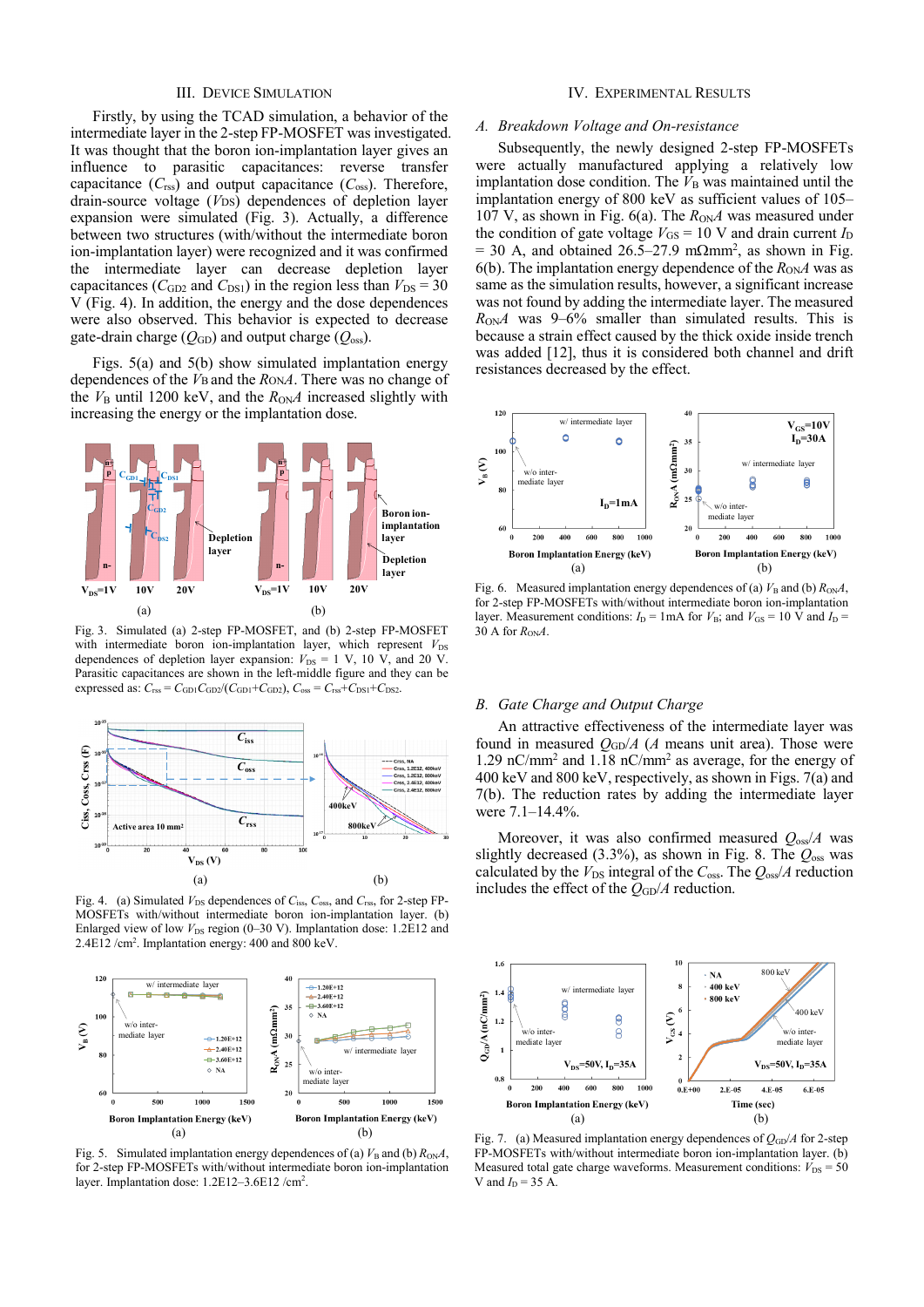# III. DEVICE SIMULATION

Firstly, by using the TCAD simulation, a behavior of the intermediate layer in the 2-step FP-MOSFET was investigated. It was thought that the boron ion-implantation layer gives an influence to parasitic capacitances: reverse transfer capacitance  $(C_{\text{rss}})$  and output capacitance  $(C_{\text{oss}})$ . Therefore, drain-source voltage (*VDS*) dependences of depletion layer expansion were simulated (Fig. 3). Actually, a difference between two structures (with/without the intermediate boron ion-implantation layer) were recognized and it was confirmed the intermediate layer can decrease depletion layer capacitances ( $C_{GD2}$  and  $C_{DS1}$ ) in the region less than  $V_{DS} = 30$ V (Fig. 4). In addition, the energy and the dose dependences were also observed. This behavior is expected to decrease gate-drain charge  $(Q<sub>GD</sub>)$  and output charge  $(Q<sub>oss</sub>)$ .

Figs. 5(a) and 5(b) show simulated implantation energy dependences of the *V*B and the *R*ON*A*. There was no change of the  $V_B$  until 1200 keV, and the  $R_{ON}A$  increased slightly with increasing the energy or the implantation dose.



Fig. 3. Simulated (a) 2-step FP-MOSFET, and (b) 2-step FP-MOSFET with intermediate boron ion-implantation layer, which represent  $V_{DS}$ dependences of depletion layer expansion:  $V_{DS} = 1$  V, 10 V, and 20 V. Parasitic capacitances are shown in the left-middle figure and they can be expressed as:  $C_{\text{rss}} = C_{\text{GD1}} C_{\text{GD2}} / (C_{\text{GD1}} + C_{\text{GD2}})$ ,  $C_{\text{oss}} = C_{\text{rss}} + C_{\text{DS1}} + C_{\text{DS2}}$ .



Fig. 4. (a) Simulated  $V_{DS}$  dependences of  $C_{iss}$ ,  $C_{oss}$ , and  $C_{rss}$ , for 2-step FP-MOSFETs with/without intermediate boron ion-implantation layer. (b) Enlarged view of low  $V_{DS}$  region (0–30 V). Implantation dose:  $1.2E12$  and 2.4E12 /cm<sup>2</sup>. Implantation energy: 400 and 800 keV.



Fig. 5. Simulated implantation energy dependences of (a)  $V_{\text{B}}$  and (b)  $R_{\text{ON}}A$ , for 2-step FP-MOSFETs with/without intermediate boron ion-implantation layer. Implantation dose: 1.2E12-3.6E12 /cm<sup>2</sup>.

## IV. EXPERIMENTAL RESULTS

## *A. Breakdown Voltage and On-resistance*

Subsequently, the newly designed 2-step FP-MOSFETs were actually manufactured applying a relatively low implantation dose condition. The  $V<sub>B</sub>$  was maintained until the implantation energy of 800 keV as sufficient values of 105– 107 V, as shown in Fig. 6(a). The  $R_{OM}$  was measured under the condition of gate voltage  $V_{GS} = 10$  V and drain current  $I_D$  $=$  30 A, and obtained 26.5–27.9 mΩmm<sup>2</sup>, as shown in Fig. 6(b). The implantation energy dependence of the  $R_{ON}A$  was as same as the simulation results, however, a significant increase was not found by adding the intermediate layer. The measured  $R_{\text{ON}}A$  was 9–6% smaller than simulated results. This is because a strain effect caused by the thick oxide inside trench was added [12], thus it is considered both channel and drift resistances decreased by the effect.



Fig. 6. Measured implantation energy dependences of (a)  $V_B$  and (b)  $R_{ON}A$ , for 2-step FP-MOSFETs with/without intermediate boron ion-implantation layer. Measurement conditions:  $I_D = 1 \text{ mA}$  for  $V_B$ ; and  $V_{GS} = 10 \text{ V}$  and  $I_D =$ 30 A for  $R_{ON}A$ .

## *B. Gate Charge and Output Charge*

An attractive effectiveness of the intermediate layer was found in measured  $Q_{GD}/A$  (*A* means unit area). Those were 1.29 nC/mm2 and 1.18 nC/mm2 as average, for the energy of 400 keV and 800 keV, respectively, as shown in Figs. 7(a) and 7(b). The reduction rates by adding the intermediate layer were 7.1–14.4%.

Moreover, it was also confirmed measured *Q*oss/*A* was slightly decreased (3.3%), as shown in Fig. 8. The *Q*oss was calculated by the  $V_{DS}$  integral of the  $C_{oss}$ . The  $Q_{oss}/A$  reduction (a) (b) calculated by the  $\nu_{DS}$  includes the effect of the  $Q_{GD}/A$  reduction.



Fig. 7. (a) Measured implantation energy dependences of  $Q_{GD}/A$  for 2-step FP-MOSFETs with/without intermediate boron ion-implantation layer. (b) Measured total gate charge waveforms. Measurement conditions:  $V_{DS} = 50$ V and  $I_D = 35$  A.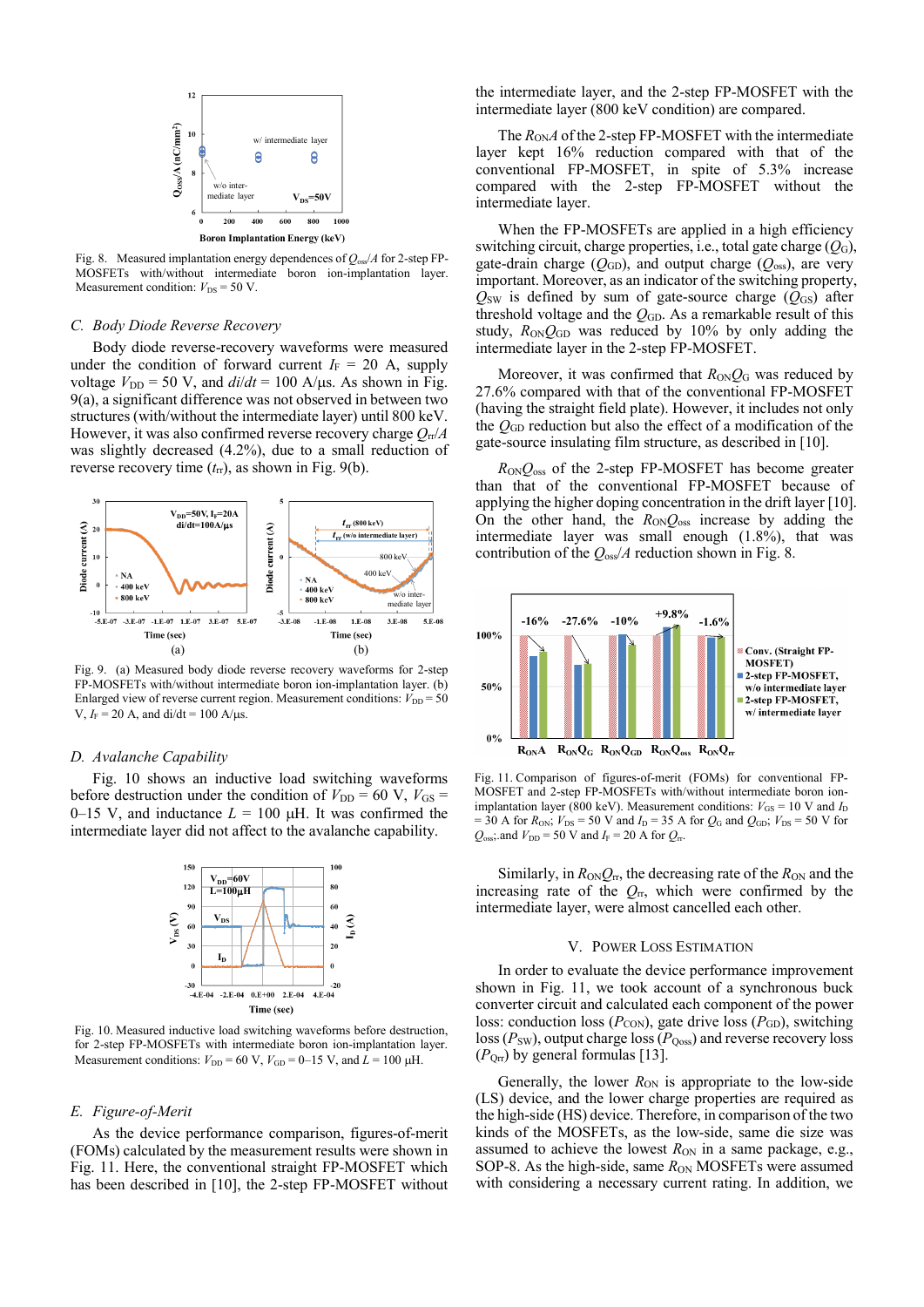

Fig. 8. Measured implantation energy dependences of *Q*oss/*A* for 2-step FP-MOSFETs with/without intermediate boron ion-implantation layer. Measurement condition:  $V_{DS} = 50$  V.

#### *C. Body Diode Reverse Recovery*

Body diode reverse-recovery waveforms were measured under the condition of forward current  $I_F = 20$  A, supply voltage  $V_{\text{DD}} = 50$  V, and  $di/dt = 100$  A/ $\mu$ s. As shown in Fig. 9(a), a significant difference was not observed in between two structures (with/without the intermediate layer) until 800 keV. However, it was also confirmed reverse recovery charge *Q*rr/*A* was slightly decreased (4.2%), due to a small reduction of reverse recovery time (*t*rr), as shown in Fig. 9(b).



Fig. 9. (a) Measured body diode reverse recovery waveforms for 2-step FP-MOSFETs with/without intermediate boron ion-implantation layer. (b) Enlarged view of reverse current region. Measurement conditions:  $V_{\text{DD}} = 50$ V,  $I_F = 20$  A, and di/dt = 100 A/ $\mu$ s.

## *D. Avalanche Capability*

Fig. 10 shows an inductive load switching waveforms before destruction under the condition of  $V_{DD} = 60$  V,  $V_{GS} =$ 0–15 V, and inductance  $L = 100 \mu H$ . It was confirmed the intermediate layer did not affect to the avalanche capability.



Fig. 10. Measured inductive load switching waveforms before destruction, for 2-step FP-MOSFETs with intermediate boron ion-implantation layer. Measurement conditions:  $V_{\text{DD}} = 60 \text{ V}$ ,  $V_{\text{GD}} = 0$ –15 V, and  $\overline{L} = 100 \text{ }\mu\text{H}$ .

#### *E. Figure-of-Merit*

As the device performance comparison, figures-of-merit (FOMs) calculated by the measurement results were shown in Fig. 11. Here, the conventional straight FP-MOSFET which has been described in [10], the 2-step FP-MOSFET without

the intermediate layer, and the 2-step FP-MOSFET with the intermediate layer (800 keV condition) are compared.

The  $R_{ON}A$  of the 2-step FP-MOSFET with the intermediate layer kept 16% reduction compared with that of the conventional FP-MOSFET, in spite of 5.3% increase compared with the 2-step FP-MOSFET without the intermediate layer.

When the FP-MOSFETs are applied in a high efficiency switching circuit, charge properties, i.e., total gate charge  $(Q_G)$ , gate-drain charge  $(Q<sub>GD</sub>)$ , and output charge  $(Q<sub>oss</sub>)$ , are very important. Moreover, as an indicator of the switching property,  $Q_{SW}$  is defined by sum of gate-source charge  $(Q_{GS})$  after threshold voltage and the *Q*GD. As a remarkable result of this study,  $R_{ON}Q_{GD}$  was reduced by 10% by only adding the intermediate layer in the 2-step FP-MOSFET.

Moreover, it was confirmed that  $R_{ON}O_G$  was reduced by 27.6% compared with that of the conventional FP-MOSFET (having the straight field plate). However, it includes not only the *Q*GD reduction but also the effect of a modification of the gate-source insulating film structure, as described in [10].

 $R_{ON}O_{oss}$  of the 2-step FP-MOSFET has become greater than that of the conventional FP-MOSFET because of applying the higher doping concentration in the drift layer [10]. On the other hand, the  $R_{ON}Q_{oss}$  increase by adding the intermediate layer was small enough (1.8%), that was contribution of the *Q*oss/*A* reduction shown in Fig. 8.



Fig. 11. Comparison of figures-of-merit (FOMs) for conventional FP-MOSFET and 2-step FP-MOSFETs with/without intermediate boron ionimplantation layer (800 keV). Measurement conditions:  $V_{GS} = 10$  V and  $I_D$ = 30 A for  $R_{ON}$ ;  $V_{DS}$  = 50 V and  $I_D$  = 35 A for  $Q_G$  and  $Q_{GD}$ ;  $V_{DS}$  = 50 V for  $Q_{\text{oss}}$ ; and  $V_{\text{DD}}$  = 50 V and  $I_{\text{F}}$  = 20 A for  $Q_{\text{tr}}$ .

Similarly, in  $R_{ON}Q_{rr}$ , the decreasing rate of the  $R_{ON}$  and the increasing rate of the  $Q_{\rm rr}$ , which were confirmed by the intermediate layer, were almost cancelled each other.

## V. POWER LOSS ESTIMATION

In order to evaluate the device performance improvement shown in Fig. 11, we took account of a synchronous buck converter circuit and calculated each component of the power loss: conduction loss ( $P_{\text{CON}}$ ), gate drive loss ( $P_{\text{GD}}$ ), switching  $\log(P_{SW})$ , output charge  $\log(P_{Qoss})$  and reverse recovery loss  $(P<sub>Qrr</sub>)$  by general formulas [13].

Generally, the lower  $R_{ON}$  is appropriate to the low-side (LS) device, and the lower charge properties are required as the high-side (HS) device. Therefore, in comparison of the two kinds of the MOSFETs, as the low-side, same die size was assumed to achieve the lowest  $R_{ON}$  in a same package, e.g., SOP-8. As the high-side, same  $R_{ON}$  MOSFETs were assumed with considering a necessary current rating. In addition, we